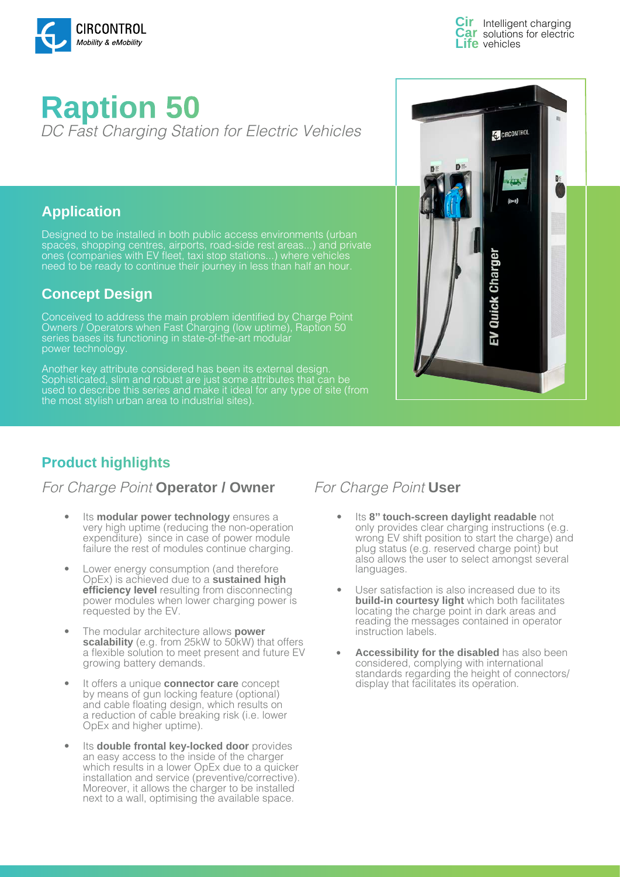

Intelligent charging solutions for electric **Life** vehicles

# **Raption 50**  DC Fast Charging Station for Electric Vehicles

#### **Application**

Designed to be installed in both public access environments (urban spaces, shopping centres, airports, road-side rest areas...) and private ones (companies with EV fleet, taxi stop stations...) where vehicles need to be ready to continue their journey in less than half an hour.

### **Concept Design**

Conceived to address the main problem identified by Charge Point Owners / Operators when Fast Charging (low uptime), Raption 50 series bases its functioning in state-of-the-art modular power technology.

Another key attribute considered has been its external design. Sophisticated, slim and robust are just some attributes that can be used to describe this series and make it ideal for any type of site (from the most stylish urban area to industrial sites).



# **Product highlights**

#### For Charge Point **Operator / Owner** For Charge Point User

- Its **modular power technology** ensures a very high uptime (reducing the non-operation expenditure) since in case of power module failure the rest of modules continue charging.
- Lower energy consumption (and therefore OpEx) is achieved due to a **sustained high efficiency level** resulting from disconnecting power modules when lower charging power is requested by the EV.
- The modular architecture allows **power scalability** (e.g. from 25kW to 50kW) that offers a flexible solution to meet present and future EV growing battery demands.
- It offers a unique **connector care** concept by means of gun locking feature (optional) and cable floating design, which results on a reduction of cable breaking risk (i.e. lower OpEx and higher uptime).
- Its **double frontal key-locked door** provides an easy access to the inside of the charger which results in a lower OpEx due to a quicker installation and service (preventive/corrective). Moreover, it allows the charger to be installed next to a wall, optimising the available space.

- Its **8'' touch-screen daylight readable** not only provides clear charging instructions (e.g. wrong EV shift position to start the charge) and plug status (e.g. reserved charge point) but also allows the user to select amongst several languages.
- User satisfaction is also increased due to its **build-in courtesy light** which both facilitates locating the charge point in dark areas and reading the messages contained in operator instruction labels.
- **• Accessibility for the disabled** has also been considered, complying with international standards regarding the height of connectors/ display that facilitates its operation.